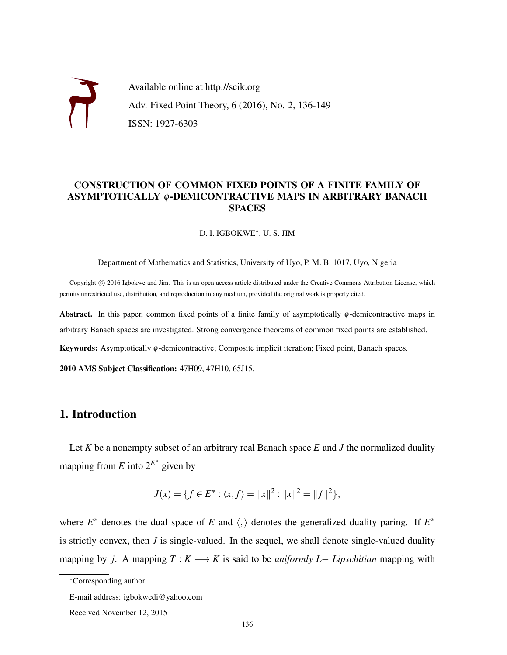

## CONSTRUCTION OF COMMON FIXED POINTS OF A FINITE FAMILY OF ASYMPTOTICALLY φ-DEMICONTRACTIVE MAPS IN ARBITRARY BANACH SPACES

D. I. IGBOKWE<sup>∗</sup> , U. S. JIM

Department of Mathematics and Statistics, University of Uyo, P. M. B. 1017, Uyo, Nigeria

Copyright © 2016 Igbokwe and Jim. This is an open access article distributed under the Creative Commons Attribution License, which permits unrestricted use, distribution, and reproduction in any medium, provided the original work is properly cited.

Abstract. In this paper, common fixed points of a finite family of asymptotically  $\phi$ -demicontractive maps in arbitrary Banach spaces are investigated. Strong convergence theorems of common fixed points are established.

Keywords: Asymptotically φ-demicontractive; Composite implicit iteration; Fixed point, Banach spaces.

2010 AMS Subject Classification: 47H09, 47H10, 65J15.

# 1. Introduction

Let *K* be a nonempty subset of an arbitrary real Banach space *E* and *J* the normalized duality mapping from *E* into  $2^{E^*}$  given by

$$
J(x) = \{ f \in E^* : \langle x, f \rangle = ||x||^2 : ||x||^2 = ||f||^2 \},\
$$

where  $E^*$  denotes the dual space of *E* and  $\langle, \rangle$  denotes the generalized duality paring. If  $E^*$ is strictly convex, then *J* is single-valued. In the sequel, we shall denote single-valued duality mapping by *j*. A mapping  $T : K \longrightarrow K$  is said to be *uniformly L– Lipschitian* mapping with

<sup>∗</sup>Corresponding author

E-mail address: igbokwedi@yahoo.com

Received November 12, 2015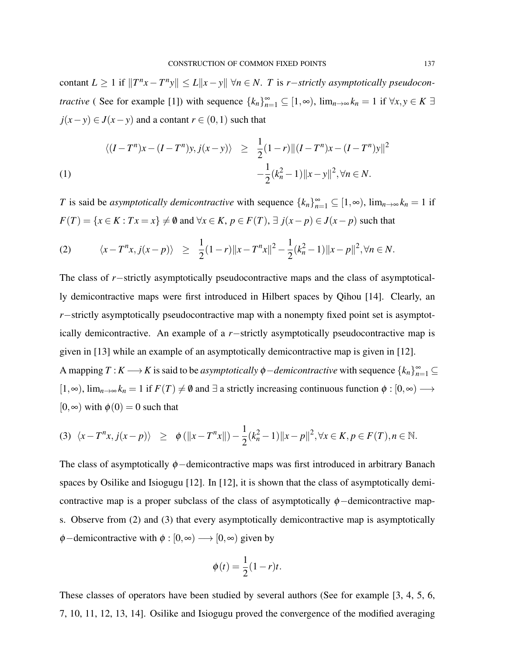contant  $L \geq 1$  if  $||T^n x - T^n y|| \leq L||x - y|| \forall n \in N$ . *T* is *r*-*strictly asymptotically pseudocontractive* ( See for example [1]) with sequence  ${k_n}_{n=1}^{\infty} \subseteq [1, \infty)$ ,  $\lim_{n\to\infty} k_n = 1$  if  $\forall x, y \in K \exists$ *j*(*x*−*y*) ∈ *J*(*x*−*y*) and a contant *r* ∈ (0,1) such that

(1)  
\n
$$
\langle (I - T^n)x - (I - T^n)y, j(x - y) \rangle \geq \frac{1}{2}(1 - r) ||(I - T^n)x - (I - T^n)y||^2
$$
\n
$$
-\frac{1}{2}(k_n^2 - 1) ||x - y||^2, \forall n \in N.
$$

*T* is said be *asymptotically demicontractive* with sequence  $\{k_n\}_{n=1}^{\infty} \subseteq [1, \infty)$ ,  $\lim_{n\to\infty} k_n = 1$  if  $F(T) = \{x \in K : Tx = x\} \neq \emptyset$  and  $\forall x \in K, p \in F(T), \exists j(x - p) \in J(x - p)$  such that

(2) 
$$
\langle x - T^n x, j(x - p) \rangle \ge \frac{1}{2} (1 - r) \|x - T^n x\|^2 - \frac{1}{2} (k_n^2 - 1) \|x - p\|^2, \forall n \in \mathbb{N}.
$$

The class of *r*−strictly asymptotically pseudocontractive maps and the class of asymptotically demicontractive maps were first introduced in Hilbert spaces by Qihou [14]. Clearly, an *r*−strictly asymptotically pseudocontractive map with a nonempty fixed point set is asymptotically demicontractive. An example of a *r*−strictly asymptotically pseudocontractive map is given in [13] while an example of an asymptotically demicontractive map is given in [12]. A mapping  $T: K \longrightarrow K$  is said to be *asymptotically*  $\phi$  – *demicontractive* with sequence  $\{k_n\}_{n=1}^{\infty} \subseteq$  $[1, \infty)$ ,  $\lim_{n\to\infty} k_n = 1$  if  $F(T) \neq \emptyset$  and  $\exists$  a strictly increasing continuous function  $\phi : [0, \infty) \longrightarrow$  $[0, \infty)$  with  $\phi(0) = 0$  such that

$$
(3) \ \langle x - T^n x, j(x - p) \rangle \geq \phi \left( \|x - T^n x\| \right) - \frac{1}{2} (k_n^2 - 1) \|x - p\|^2, \forall x \in K, p \in F(T), n \in \mathbb{N}.
$$

The class of asymptotically  $\phi$  –demicontractive maps was first introduced in arbitrary Banach spaces by Osilike and Isiogugu [12]. In [12], it is shown that the class of asymptotically demicontractive map is a proper subclass of the class of asymptotically  $\phi$  –demicontractive maps. Observe from (2) and (3) that every asymptotically demicontractive map is asymptotically  $\phi$  – demicontractive with  $\phi$  : [0, ∞)  $\longrightarrow$  [0, ∞) given by

$$
\phi(t) = \frac{1}{2}(1-r)t.
$$

These classes of operators have been studied by several authors (See for example [3, 4, 5, 6, 7, 10, 11, 12, 13, 14]. Osilike and Isiogugu proved the convergence of the modified averaging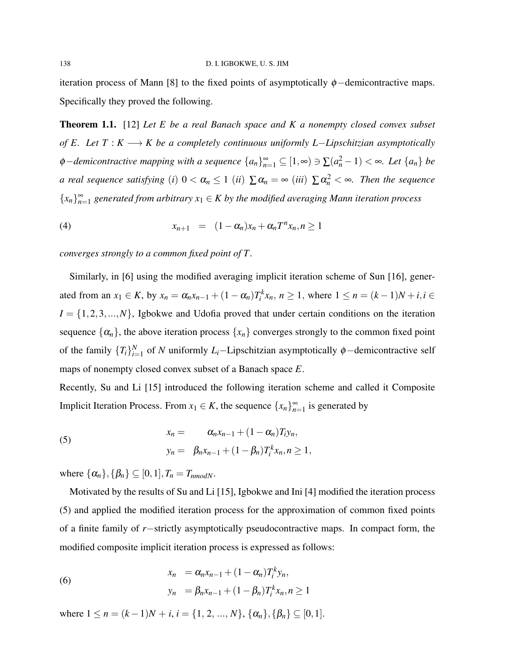iteration process of Mann [8] to the fixed points of asymptotically  $\phi$  –demicontractive maps. Specifically they proved the following.

Theorem 1.1. [12] *Let E be a real Banach space and K a nonempty closed convex subset of E. Let T* : *K* → *K be a completely continuous uniformly L*−*Lipschitzian asymptotically*  $\phi$ *−demicontractive mapping with a sequence*  $\{a_n\}_{n=1}^{\infty} \subseteq [1, \infty) \ni \sum (a_n^2 - 1) < \infty$ *. Let*  $\{a_n\}$  *be a* real sequence satisfying (*i*)  $0 < \alpha_n \leq 1$  (*ii*)  $\sum \alpha_n = \infty$  (*iii*)  $\sum \alpha_n^2 < \infty$ . Then the sequence  ${x_n}_{n=1}^{\infty}$  generated from arbitrary  $x_1 \in K$  by the modified averaging Mann iteration process

(4) 
$$
x_{n+1} = (1 - \alpha_n)x_n + \alpha_n T^n x_n, n \ge 1
$$

*converges strongly to a common fixed point of T .*

Similarly, in [6] using the modified averaging implicit iteration scheme of Sun [16], generated from an  $x_1 \in K$ , by  $x_n = \alpha_n x_{n-1} + (1 - \alpha_n) T_i^k x_n$ ,  $n \ge 1$ , where  $1 \le n = (k-1)N + i, i \in$  $I = \{1, 2, 3, ..., N\}$ , Igbokwe and Udofia proved that under certain conditions on the iteration sequence  $\{\alpha_n\}$ , the above iteration process  $\{x_n\}$  converges strongly to the common fixed point of the family  ${T_i}_{i=1}^N$ *i*=1 of *N* uniformly *Li*−Lipschitzian asymptotically φ−demicontractive self maps of nonempty closed convex subset of a Banach space *E*.

Recently, Su and Li [15] introduced the following iteration scheme and called it Composite Implicit Iteration Process. From  $x_1 \in K$ , the sequence  $\{x_n\}_{n=1}^{\infty}$  is generated by

(5) 
$$
x_n = \alpha_n x_{n-1} + (1 - \alpha_n) T_i y_n,
$$

$$
y_n = \beta_n x_{n-1} + (1 - \beta_n) T_i^k x_n, n \ge 1,
$$

where  $\{\alpha_n\}, \{\beta_n\} \subseteq [0,1], T_n = T_{\text{nmodN}}$ .

Motivated by the results of Su and Li [15], Igbokwe and Ini [4] modified the iteration process (5) and applied the modified iteration process for the approximation of common fixed points of a finite family of *r*−strictly asymptotically pseudocontractive maps. In compact form, the modified composite implicit iteration process is expressed as follows:

(6) 
$$
x_n = \alpha_n x_{n-1} + (1 - \alpha_n) T_i^k y_n,
$$

$$
y_n = \beta_n x_{n-1} + (1 - \beta_n) T_i^k x_n, n \ge 1
$$

where  $1 \le n = (k-1)N + i$ ,  $i = \{1, 2, ..., N\}$ ,  $\{\alpha_n\}, \{\beta_n\} \subseteq [0, 1]$ .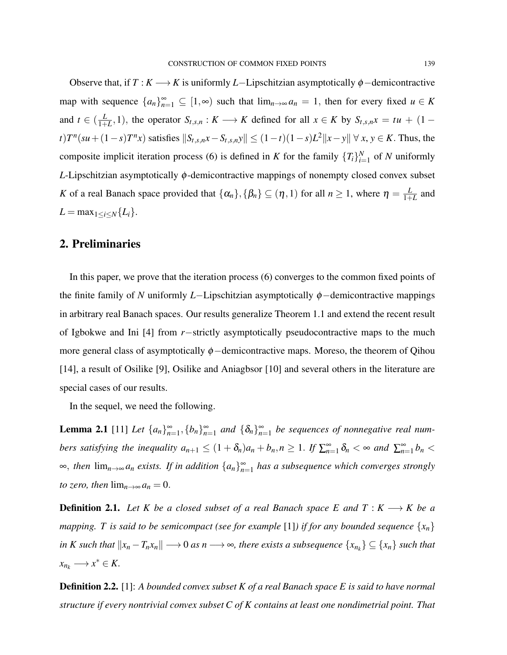Observe that, if  $T : K \longrightarrow K$  is uniformly *L*−Lipschitzian asymptotically  $\phi$ −demicontractive map with sequence  $\{a_n\}_{n=1}^{\infty} \subseteq [1, \infty)$  such that  $\lim_{n\to\infty} a_n = 1$ , then for every fixed  $u \in K$ and  $t \in (\frac{L}{1+1})$  $\frac{L}{1+L}$ , 1), the operator  $S_{t,s,n}: K \longrightarrow K$  defined for all  $x \in K$  by  $S_{t,s,n}x = tu + (1-t)$  $(t)T^{n}(su+(1-s)T^{n}x)$  satisfies  $||S_{t,s,n}x-S_{t,s,n}y|| \leq (1-t)(1-s)L^{2}||x-y|| \forall x, y \in K$ . Thus, the composite implicit iteration process (6) is defined in *K* for the family  ${T_i}_{i=1}^N$  $_{i=1}^N$  of *N* uniformly *L*-Lipschitzian asymptotically  $\phi$ -demicontractive mappings of nonempty closed convex subset *K* of a real Banach space provided that  $\{\alpha_n\}, \{\beta_n\} \subseteq (\eta, 1)$  for all  $n \ge 1$ , where  $\eta = \frac{L}{1+\eta}$  $\frac{L}{1+L}$  and  $L = \max_{1 \le i \le N} \{L_i\}.$ 

## 2. Preliminaries

In this paper, we prove that the iteration process (6) converges to the common fixed points of the finite family of *N* uniformly *L*−Lipschitzian asymptotically φ−demicontractive mappings in arbitrary real Banach spaces. Our results generalize Theorem 1.1 and extend the recent result of Igbokwe and Ini [4] from *r*−strictly asymptotically pseudocontractive maps to the much more general class of asymptotically  $\phi$  –demicontractive maps. Moreso, the theorem of Qihou [14], a result of Osilike [9], Osilike and Aniagbsor [10] and several others in the literature are special cases of our results.

In the sequel, we need the following.

**Lemma 2.1** [11] Let  $\{a_n\}_{n=1}^{\infty}$ ,  $\{b_n\}_{n=1}^{\infty}$  and  $\{\delta_n\}_{n=1}^{\infty}$  be sequences of nonnegative real num*bers satisfying the inequality*  $a_{n+1} \leq (1+\delta_n)a_n + b_n, n \geq 1$ . If  $\sum_{n=1}^{\infty} \delta_n < \infty$  and  $\sum_{n=1}^{\infty} b_n < \infty$ ∞, *then* lim*n*→<sup>∞</sup> *a<sup>n</sup> exists. If in addition* {*an*} ∞ *n*=1 *has a subsequence which converges strongly to zero, then*  $\lim_{n\to\infty} a_n = 0$ .

**Definition 2.1.** *Let K be a closed subset of a real Banach space E and*  $T : K \longrightarrow K$  *be a mapping. T is said to be semicompact (see for example* [1]*) if for any bounded sequence* {*xn*} *in K such that* k*x<sup>n</sup>* −*Tnxn*k −→ 0 *as n* −→ ∞*, there exists a subsequence* {*xn<sup>k</sup>* } ⊆ {*xn*} *such that*  $x_{n_k} \longrightarrow x^* \in K$ .

Definition 2.2. [1]: *A bounded convex subset K of a real Banach space E is said to have normal structure if every nontrivial convex subset C of K contains at least one nondimetrial point. That*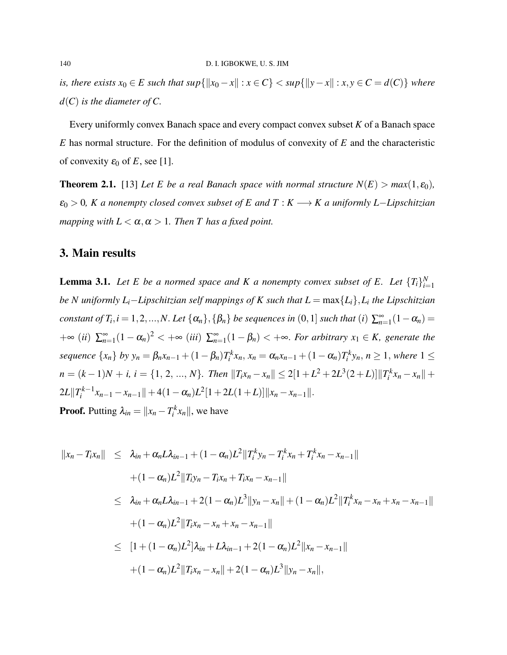#### 140 D. I. IGBOKWE, U. S. JIM

*is, there exists*  $x_0 \in E$  *such that sup*{ $||x_0 − x|| : x \in C$ } <  $sup{$ {||y − x|| : x, y \in C = d(C)}} *where d*(*C*) *is the diameter of C.*

Every uniformly convex Banach space and every compact convex subset *K* of a Banach space *E* has normal structure. For the definition of modulus of convexity of *E* and the characteristic of convexity  $\varepsilon_0$  of *E*, see [1].

**Theorem 2.1.** [13] Let E be a real Banach space with normal structure  $N(E) > max(1, \varepsilon_0)$ , ε<sup>0</sup> > 0*, K a nonempty closed convex subset of E and T* : *K* −→ *K a uniformly L*−*Lipschitzian mapping with*  $L < \alpha, \alpha > 1$ *. Then T has a fixed point.* 

# 3. Main results

**Lemma 3.1.** Let E be a normed space and K a nonempty convex subset of E. Let  $\{T_i\}_{i=1}^N$ *i*=1 *be N uniformly Li*−*Lipschitzian self mappings of K such that L* = max{*Li*},*L<sup>i</sup> the Lipschitzian constant of T<sub>i</sub>, i* = 1, 2, ..., *N*. *Let*  $\{\alpha_n\}$ ,  $\{\beta_n\}$  *be sequences in*  $(0, 1]$  *such that*  $(i)$   $\sum_{n=1}^{\infty} (1 - \alpha_n)$  =  $+\infty$  (*ii*)  $\sum_{n=1}^{\infty} (1 - \alpha_n)^2 < +\infty$  (*iii*)  $\sum_{n=1}^{\infty} (1 - \beta_n) < +\infty$ . For arbitrary  $x_1 \in K$ , generate the sequence  $\{x_n\}$  by  $y_n = \beta_n x_{n-1} + (1 - \beta_n) T_i^k x_n$ ,  $x_n = \alpha_n x_{n-1} + (1 - \alpha_n) T_i^k y_n$ ,  $n \ge 1$ , where  $1 \le$  $n = (k-1)N + i$ ,  $i = \{1, 2, ..., N\}$ . Then  $||T_i x_n - x_n|| \le 2[1 + L^2 + 2L^3(2+L)]||T_i^k x_n - x_n|| +$  $2L$ || $T_i^{k-1}$  $\int_{i}^{k-1} x_{n-1} - x_{n-1}$ || + 4(1 − α*n*)*L*<sup>2</sup>[1 + 2*L*(1 + *L*)]|| $x_n - x_{n-1}$ ||.

**Proof.** Putting  $\lambda_{in} = ||x_n - T_i^k x_n||$ , we have

$$
||x_n - T_i x_n|| \leq \lambda_{in} + \alpha_n L \lambda_{in-1} + (1 - \alpha_n) L^2 ||T_i^k y_n - T_i^k x_n + T_i^k x_n - x_{n-1}||
$$
  
+  $(1 - \alpha_n) L^2 ||T_i y_n - T_i x_n + T_i x_n - x_{n-1}||$   
 $\leq \lambda_{in} + \alpha_n L \lambda_{in-1} + 2(1 - \alpha_n) L^3 ||y_n - x_n|| + (1 - \alpha_n) L^2 ||T_i^k x_n - x_n + x_n - x_{n-1}||$   
+  $(1 - \alpha_n) L^2 ||T_i x_n - x_n + x_n - x_{n-1}||$   
 $\leq [1 + (1 - \alpha_n) L^2 ]\lambda_{in} + L \lambda_{in-1} + 2(1 - \alpha_n) L^2 ||x_n - x_{n-1}||$   
+  $(1 - \alpha_n) L^2 ||T_i x_n - x_n|| + 2(1 - \alpha_n) L^3 ||y_n - x_n||,$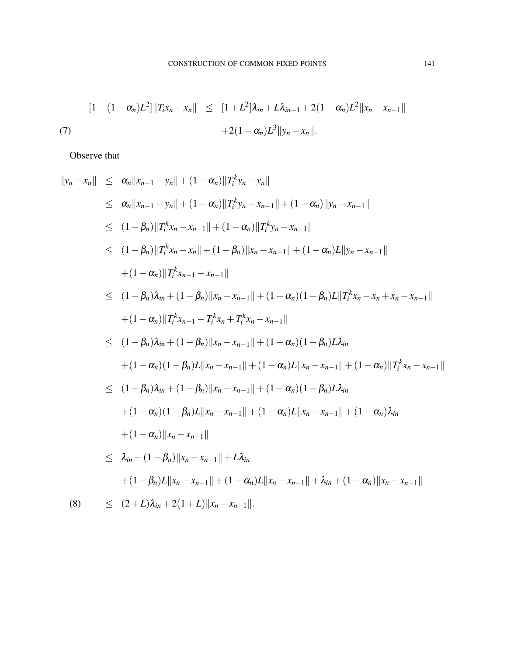(7) 
$$
[1 - (1 - \alpha_n)L^2] ||T_i x_n - x_n|| \leq [1 + L^2] \lambda_{in} + L \lambda_{in-1} + 2(1 - \alpha_n)L^2 ||x_n - x_{n-1}||
$$

$$
+ 2(1 - \alpha_n)L^3 ||y_n - x_n||.
$$

Observe that

$$
||y_n - x_n|| \leq \alpha_n ||x_{n-1} - y_n|| + (1 - \alpha_n) ||T_t^k y_n - y_n||
$$
  
\n
$$
\leq \alpha_n ||x_{n-1} - y_n|| + (1 - \alpha_n) ||T_t^k y_n - x_{n-1}|| + (1 - \alpha_n) ||y_n - x_{n-1}||
$$
  
\n
$$
\leq (1 - \beta_n) ||T_t^k x_n - x_{n-1}|| + (1 - \alpha_n) ||T_t^k y_n - x_{n-1}||
$$
  
\n
$$
\leq (1 - \beta_n) ||T_t^k x_n - x_n|| + (1 - \beta_n) ||x_n - x_{n-1}|| + (1 - \alpha_n)L||y_n - x_{n-1}||
$$
  
\n
$$
+ (1 - \alpha_n) ||T_t^k x_n - x_{n-1}||
$$
  
\n
$$
\leq (1 - \beta_n) \lambda_{in} + (1 - \beta_n) ||x_n - x_{n-1}|| + (1 - \alpha_n) (1 - \beta_n)L||T_t^k x_n - x_n + x_n - x_{n-1}||
$$
  
\n
$$
+ (1 - \alpha_n) ||T_t^k x_{n-1} - T_t^k x_n + T_t^k x_n - x_{n-1}||
$$
  
\n
$$
\leq (1 - \beta_n) \lambda_{in} + (1 - \beta_n) ||x_n - x_{n-1}|| + (1 - \alpha_n) (1 - \beta_n)L \lambda_{in}
$$
  
\n
$$
+ (1 - \alpha_n) (1 - \beta_n)L||x_n - x_{n-1}|| + (1 - \alpha_n)L||x_n - x_{n-1}|| + (1 - \alpha_n) ||T_t^k x_n - x_{n-1}||
$$
  
\n
$$
\leq (1 - \beta_n) \lambda_{in} + (1 - \beta_n) ||x_n - x_{n-1}|| + (1 - \alpha_n)(1 - \beta_n)L \lambda_{in}
$$
  
\n
$$
+ (1 - \alpha_n) (1 - \beta_n)L||x_n - x_{n-1}|| + (1 - \alpha_n)L||x_n - x_{n-1}|| + (1 - \alpha_n) \lambda_{in}
$$
  
\n
$$
+ (1 - \alpha_n) ||x_n - x_{n-1}||
$$
  
\n
$$
\leq \lambda_{in} + (1 - \beta_n) ||x_n - x_{n-1}|| + L \
$$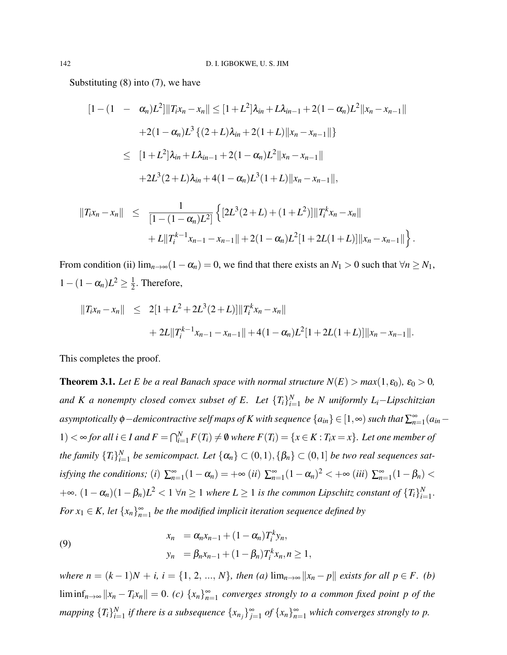Substituting (8) into (7), we have

$$
[1 - (1 - \alpha_n)L^2] ||T_{i}x_n - x_n|| \leq [1 + L^2]\lambda_{in} + L\lambda_{in-1} + 2(1 - \alpha_n)L^2 ||x_n - x_{n-1}||
$$
  
+2(1 - \alpha\_n)L^3 \{(2 + L)\lambda\_{in} + 2(1 + L) ||x\_n - x\_{n-1}||\}  

$$
\leq [1 + L^2]\lambda_{in} + L\lambda_{in-1} + 2(1 - \alpha_n)L^2 ||x_n - x_{n-1}||
$$
  
+2L<sup>3</sup>(2 + L)\lambda\_{in} + 4(1 - \alpha\_n)L^3(1 + L) ||x\_n - x\_{n-1}||,

$$
||T_i x_n - x_n|| \leq \frac{1}{[1 - (1 - \alpha_n)L^2]} \left\{ [2L^3(2 + L) + (1 + L^2)] ||T_i^k x_n - x_n|| + L||T_i^{k-1} x_{n-1} - x_{n-1}|| + 2(1 - \alpha_n)L^2[1 + 2L(1 + L)] ||x_n - x_{n-1}|| \right\}.
$$

From condition (ii)  $\lim_{n\to\infty}(1-\alpha_n)=0$ , we find that there exists an  $N_1 > 0$  such that  $\forall n \ge N_1$ , 1 – (1 – α<sub>*n*</sub>) $L^2$  ≥  $\frac{1}{2}$  $\frac{1}{2}$ . Therefore,

$$
||T_{i}x_{n}-x_{n}|| \leq 2[1+L^{2}+2L^{3}(2+L)]||T_{i}^{k}x_{n}-x_{n}||
$$
  
+2L||T\_{i}^{k-1}x\_{n-1}-x\_{n-1}||+4(1-\alpha\_{n})L^{2}[1+2L(1+L)]||x\_{n}-x\_{n-1}||.

This completes the proof.

**Theorem 3.1.** Let E be a real Banach space with normal structure  $N(E) > max(1, \varepsilon_0)$ ,  $\varepsilon_0 > 0$ , *and K a* nonempty closed convex subset of E. Let  ${T_i}_{i=1}^N$ *i*=1 *be N uniformly Li*−*Lipschitzian*  $a$ symptotically  $\phi$   $-$  demicontractive self maps of  $K$  with sequence  $\{a_{in}\}\in [1,\infty)$  such that  $\sum_{n=1}^\infty (a_{in}-a_{in})$  $1)$  < ∞ *for all i* ∈ *I* and  $F = \bigcap_{i=1}^{N} F(T_i) \neq \emptyset$  where  $F(T_i) = \{x \in K : T_i x = x\}$ . Let one member of *the family*  $\{T_i\}_{i=1}^N$  $_{i=1}^{N}$  *be semicompact. Let*  $\{\alpha_n\} \subset (0,1), \{\beta_n\} \subset (0,1]$  *be two real sequences satisfying the conditions;* (*i*)  $\sum_{n=1}^{\infty} (1 - \alpha_n) = +\infty$  (*ii*)  $\sum_{n=1}^{\infty} (1 - \alpha_n)^2 < +\infty$  (*iii*)  $\sum_{n=1}^{\infty} (1 - \beta_n) <$  $+∞.$   $(1 − α<sub>n</sub>)(1 − β<sub>n</sub>)L<sup>2</sup> < 1 �forall n \ge 1$  *where*  $L ≥ 1$  *is the common Lipschitz constant of*  ${T<sub>i</sub>}^N_{i=1}$  $\frac{N}{i=1}$ . *For*  $x_1 \in K$ , let  $\{x_n\}_{n=1}^{\infty}$  be the modified implicit iteration sequence defined by

(9)  

$$
x_n = \alpha_n x_{n-1} + (1 - \alpha_n) T_i^k y_n,
$$

$$
y_n = \beta_n x_{n-1} + (1 - \beta_n) T_i^k x_n, n \ge 1,
$$

*where*  $n = (k-1)N + i$ ,  $i = \{1, 2, ..., N\}$ , then (a)  $\lim_{n \to \infty} ||x_n - p||$  exists for all  $p \in F$ . (b)  $\liminf_{n\to\infty}$   $||x_n - T_i x_n|| = 0$ . *(c)*  $\{x_n\}_{n=1}^{\infty}$  converges strongly to a common fixed point p of the *mapping*  $\{T_i\}_{i=1}^N$  $\int_{i=1}^{N}$  *if there is a subsequence*  $\{x_{n_j}\}_{j=1}^{\infty}$  *of*  $\{x_n\}_{n=1}^{\infty}$  *which converges strongly to p.*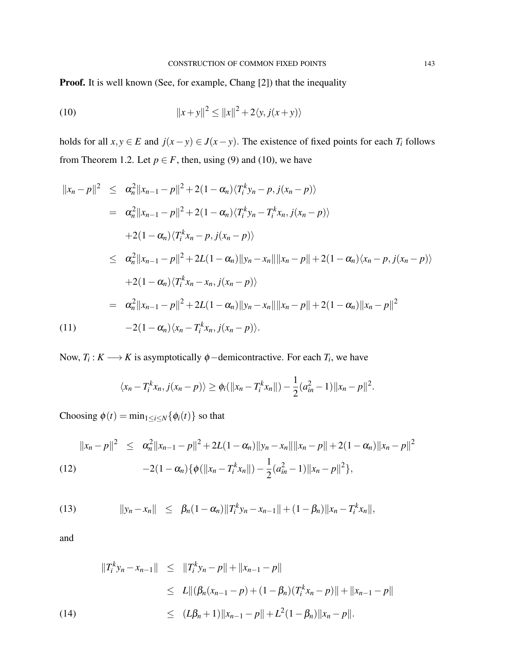Proof. It is well known (See, for example, Chang [2]) that the inequality

(10) 
$$
||x+y||^2 \le ||x||^2 + 2\langle y, j(x+y)\rangle
$$

holds for all  $x, y \in E$  and  $j(x - y) \in J(x - y)$ . The existence of fixed points for each  $T_i$  follows from Theorem 1.2. Let  $p \in F$ , then, using (9) and (10), we have

$$
||x_n - p||^2 \leq \alpha_n^2 ||x_{n-1} - p||^2 + 2(1 - \alpha_n) \langle T_i^k y_n - p, j(x_n - p) \rangle
$$
  
\n
$$
= \alpha_n^2 ||x_{n-1} - p||^2 + 2(1 - \alpha_n) \langle T_i^k y_n - T_i^k x_n, j(x_n - p) \rangle
$$
  
\n
$$
+ 2(1 - \alpha_n) \langle T_i^k x_n - p, j(x_n - p) \rangle
$$
  
\n
$$
\leq \alpha_n^2 ||x_{n-1} - p||^2 + 2L(1 - \alpha_n) ||y_n - x_n|| ||x_n - p|| + 2(1 - \alpha_n) \langle x_n - p, j(x_n - p) \rangle
$$
  
\n
$$
+ 2(1 - \alpha_n) \langle T_i^k x_n - x_n, j(x_n - p) \rangle
$$
  
\n
$$
= \alpha_n^2 ||x_{n-1} - p||^2 + 2L(1 - \alpha_n) ||y_n - x_n|| ||x_n - p|| + 2(1 - \alpha_n) ||x_n - p||^2
$$
  
\n(11)  
\n
$$
-2(1 - \alpha_n) \langle x_n - T_i^k x_n, j(x_n - p) \rangle.
$$

Now,  $T_i: K \longrightarrow K$  is asymptotically  $\phi$ -demicontractive. For each  $T_i$ , we have

$$
\langle x_n-T_i^kx_n, j(x_n-p)\rangle \geq \phi_i(||x_n-T_i^kx_n||) - \frac{1}{2}(a_{in}^2-1)||x_n-p||^2.
$$

Choosing  $\phi(t) = \min_{1 \le i \le N} {\{\phi_i(t)\}}$  so that

$$
||x_n - p||^2 \leq \alpha_n^2 ||x_{n-1} - p||^2 + 2L(1 - \alpha_n) ||y_n - x_n|| ||x_n - p|| + 2(1 - \alpha_n) ||x_n - p||^2
$$
  
(12)  

$$
-2(1 - \alpha_n) \{ \phi(||x_n - T_i^k x_n||) - \frac{1}{2} (\alpha_m^2 - 1) ||x_n - p||^2 \},
$$

(13) 
$$
||y_n - x_n|| \leq \beta_n (1 - \alpha_n) ||T_i^k y_n - x_{n-1}|| + (1 - \beta_n) ||x_n - T_i^k x_n||,
$$

and

$$
||T_i^k y_n - x_{n-1}|| \le ||T_i^k y_n - p|| + ||x_{n-1} - p||
$$
  
\n
$$
\le L||(\beta_n(x_{n-1} - p) + (1 - \beta_n)(T_i^k x_n - p)|| + ||x_{n-1} - p||
$$
  
\n
$$
\le (L\beta_n + 1)||x_{n-1} - p|| + L^2(1 - \beta_n)||x_n - p||.
$$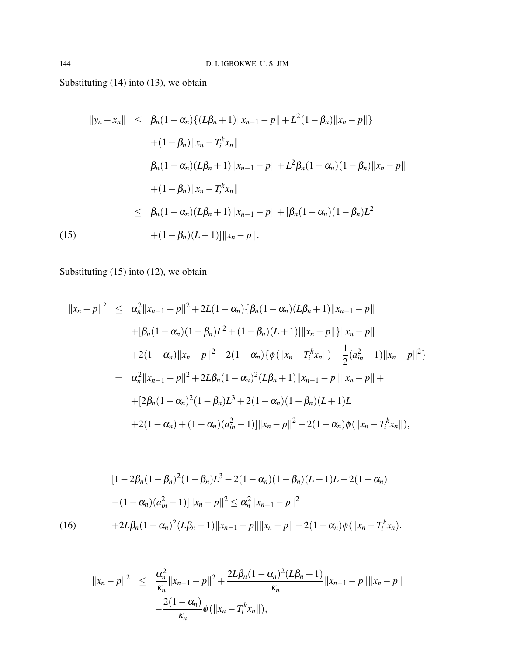Substituting (14) into (13), we obtain

$$
||y_n - x_n|| \leq \beta_n (1 - \alpha_n) \{ (L\beta_n + 1) ||x_{n-1} - p|| + L^2 (1 - \beta_n) ||x_n - p|| \}
$$
  
+ 
$$
(1 - \beta_n) ||x_n - T_i^k x_n||
$$
  
= 
$$
\beta_n (1 - \alpha_n) (L\beta_n + 1) ||x_{n-1} - p|| + L^2 \beta_n (1 - \alpha_n) (1 - \beta_n) ||x_n - p||
$$
  
+ 
$$
(1 - \beta_n) ||x_n - T_i^k x_n||
$$
  

$$
\leq \beta_n (1 - \alpha_n) (L\beta_n + 1) ||x_{n-1} - p|| + [\beta_n (1 - \alpha_n) (1 - \beta_n) L^2
$$
  
+ 
$$
(1 - \beta_n) (L + 1) ||x_n - p||.
$$

Substituting (15) into (12), we obtain

$$
||x_n - p||^2 \leq \alpha_n^2 ||x_{n-1} - p||^2 + 2L(1 - \alpha_n) \{\beta_n (1 - \alpha_n)(L\beta_n + 1) ||x_{n-1} - p||
$$
  
+  $[\beta_n (1 - \alpha_n)(1 - \beta_n)L^2 + (1 - \beta_n)(L + 1)] ||x_n - p||\} ||x_n - p||$   
+  $2(1 - \alpha_n) ||x_n - p||^2 - 2(1 - \alpha_n) \{\phi(||x_n - T_t^k x_n||) - \frac{1}{2}(\alpha_m^2 - 1) ||x_n - p||^2\}$   
=  $\alpha_n^2 ||x_{n-1} - p||^2 + 2L\beta_n (1 - \alpha_n)^2 (L\beta_n + 1) ||x_{n-1} - p|| ||x_n - p|| +$   
+  $[2\beta_n (1 - \alpha_n)^2 (1 - \beta_n)L^3 + 2(1 - \alpha_n)(1 - \beta_n)(L + 1)L$   
+  $2(1 - \alpha_n) + (1 - \alpha_n)(\alpha_m^2 - 1)] ||x_n - p||^2 - 2(1 - \alpha_n)\phi(||x_n - T_t^k x_n||),$ 

$$
[1 - 2\beta_n(1 - \beta_n)^2(1 - \beta_n)L^3 - 2(1 - \alpha_n)(1 - \beta_n)(L+1)L - 2(1 - \alpha_n)
$$
  
-(1 - \alpha\_n)(a<sub>in</sub><sup>2</sup> - 1)] $||x_n - p||^2 \le \alpha_n^2 ||x_{n-1} - p||^2$   
(16)  $+2L\beta_n(1 - \alpha_n)^2(L\beta_n + 1)||x_{n-1} - p|| ||x_n - p|| - 2(1 - \alpha_n)\phi(||x_n - T_i^k x_n).$ 

$$
||x_n - p||^2 \leq \frac{\alpha_n^2}{\kappa_n} ||x_{n-1} - p||^2 + \frac{2L\beta_n(1 - \alpha_n)^2(L\beta_n + 1)}{\kappa_n} ||x_{n-1} - p|| ||x_n - p||
$$
  

$$
-\frac{2(1 - \alpha_n)}{\kappa_n} \phi(||x_n - T_i^k x_n||),
$$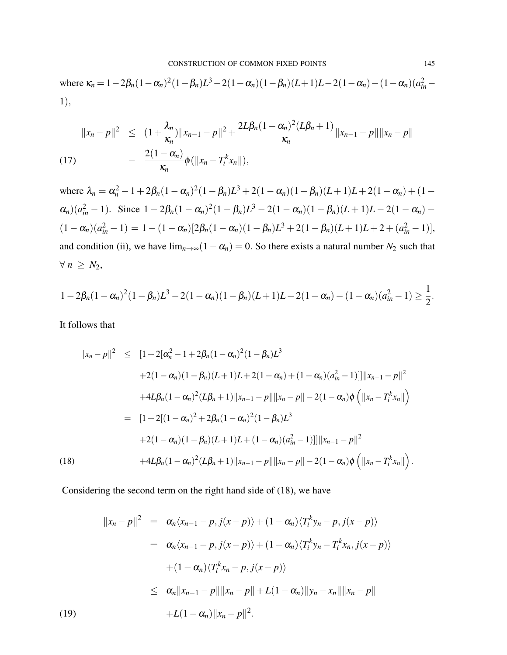where  $\kappa_n = 1 - 2\beta_n(1 - \alpha_n)^2(1 - \beta_n)L^3 - 2(1 - \alpha_n)(1 - \beta_n)(L+1)L - 2(1 - \alpha_n) - (1 - \alpha_n)(a_{in}^2 -$ 1),

$$
||x_n - p||^2 \le (1 + \frac{\lambda_n}{\kappa_n}) ||x_{n-1} - p||^2 + \frac{2L\beta_n(1 - \alpha_n)^2(L\beta_n + 1)}{\kappa_n} ||x_{n-1} - p|| ||x_n - p||
$$
  
(17) 
$$
- \frac{2(1 - \alpha_n)}{\kappa_n} \phi(||x_n - T_i^k x_n||),
$$

where  $\lambda_n = \alpha_n^2 - 1 + 2\beta_n(1 - \alpha_n)^2(1 - \beta_n)L^3 + 2(1 - \alpha_n)(1 - \beta_n)(L+1)L + 2(1 - \alpha_n) + (1 - \beta_n)^2$  $\alpha_n$ )( $a_{in}^2 - 1$ ). Since  $1 - 2\beta_n(1 - \alpha_n)^2(1 - \beta_n)L^3 - 2(1 - \alpha_n)(1 - \beta_n)(L+1)L - 2(1 - \alpha_n) (1 - \alpha_n)(a_{in}^2 - 1) = 1 - (1 - \alpha_n)[2\beta_n(1 - \alpha_n)(1 - \beta_n)L^3 + 2(1 - \beta_n)(L+1)L + 2 + (a_{in}^2 - 1)],$ and condition (ii), we have  $\lim_{n\to\infty}(1-\alpha_n) = 0$ . So there exists a natural number  $N_2$  such that  $\forall n \geq N_2,$ 

$$
1-2\beta_n(1-\alpha_n)^2(1-\beta_n)L^3-2(1-\alpha_n)(1-\beta_n)(L+1)L-2(1-\alpha_n)-(1-\alpha_n)(a_{in}^2-1)\geq \frac{1}{2}.
$$

It follows that

$$
||x_n - p||^2 \le [1 + 2[\alpha_n^2 - 1 + 2\beta_n(1 - \alpha_n)^2(1 - \beta_n)L^3
$$
  
+2(1 - \alpha\_n)(1 - \beta\_n)(L+1)L+2(1 - \alpha\_n) + (1 - \alpha\_n)(a\_{in}^2 - 1)]||x\_{n-1} - p||^2  
+4L\beta\_n(1 - \alpha\_n)^2(L\beta\_n + 1)||x\_{n-1} - p||||x\_n - p|| - 2(1 - \alpha\_n)\phi (||x\_n - T\_t^k x\_n||)  
= [1 + 2[(1 - \alpha\_n)^2 + 2\beta\_n(1 - \alpha\_n)^2(1 - \beta\_n)L^3  
+2(1 - \alpha\_n)(1 - \beta\_n)(L+1)L + (1 - \alpha\_n)(a\_{in}^2 - 1)]||x\_{n-1} - p||^2  
+4L\beta\_n(1 - \alpha\_n)^2(L\beta\_n + 1)||x\_{n-1} - p||||x\_n - p|| - 2(1 - \alpha\_n)\phi (||x\_n - T\_t^k x\_n||).

Considering the second term on the right hand side of (18), we have

$$
||x_n - p||^2 = \alpha_n \langle x_{n-1} - p, j(x - p) \rangle + (1 - \alpha_n) \langle T_i^k y_n - p, j(x - p) \rangle
$$
  
\n
$$
= \alpha_n \langle x_{n-1} - p, j(x - p) \rangle + (1 - \alpha_n) \langle T_i^k y_n - T_i^k x_n, j(x - p) \rangle
$$
  
\n
$$
+ (1 - \alpha_n) \langle T_i^k x_n - p, j(x - p) \rangle
$$
  
\n
$$
\leq \alpha_n ||x_{n-1} - p|| ||x_n - p|| + L(1 - \alpha_n) ||y_n - x_n|| ||x_n - p||
$$
  
\n(19)  
\n
$$
+ L(1 - \alpha_n) ||x_n - p||^2.
$$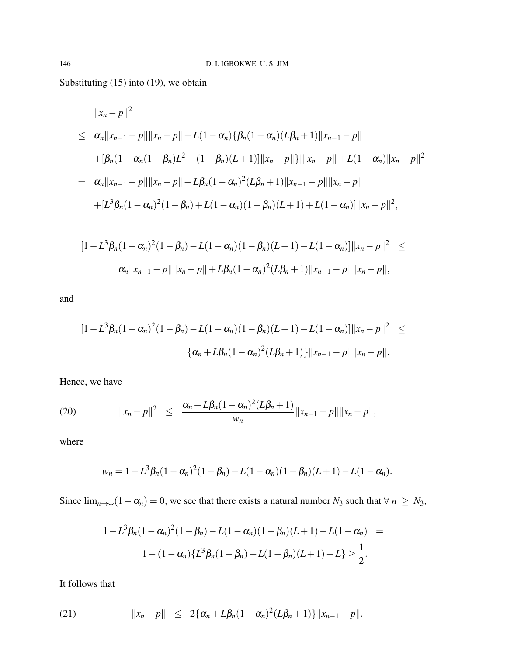Substituting (15) into (19), we obtain

$$
||x_n - p||^2
$$
  
\n
$$
\leq \alpha_n ||x_{n-1} - p|| ||x_n - p|| + L(1 - \alpha_n) \{\beta_n (1 - \alpha_n) (L\beta_n + 1) ||x_{n-1} - p||
$$
  
\n
$$
+ [\beta_n (1 - \alpha_n (1 - \beta_n) L^2 + (1 - \beta_n) (L + 1)] ||x_n - p||\} ||x_n - p|| + L(1 - \alpha_n) ||x_n - p||^2
$$
  
\n
$$
= \alpha_n ||x_{n-1} - p|| ||x_n - p|| + L\beta_n (1 - \alpha_n)^2 (L\beta_n + 1) ||x_{n-1} - p|| ||x_n - p||
$$
  
\n
$$
+ [L^3 \beta_n (1 - \alpha_n)^2 (1 - \beta_n) + L(1 - \alpha_n) (1 - \beta_n) (L + 1) + L(1 - \alpha_n) ||x_n - p||^2,
$$

$$
[1 - L^3 \beta_n (1 - \alpha_n)^2 (1 - \beta_n) - L(1 - \alpha_n)(1 - \beta_n)(L+1) - L(1 - \alpha_n)] ||x_n - p||^2 \le
$$
  

$$
\alpha_n ||x_{n-1} - p|| ||x_n - p|| + L\beta_n (1 - \alpha_n)^2 (L\beta_n + 1) ||x_{n-1} - p|| ||x_n - p||,
$$

and

$$
[1 - L^3 \beta_n (1 - \alpha_n)^2 (1 - \beta_n) - L(1 - \alpha_n)(1 - \beta_n)(L+1) - L(1 - \alpha_n)] ||x_n - p||^2 \le
$$
  

$$
\{\alpha_n + L\beta_n (1 - \alpha_n)^2 (L\beta_n + 1)\} ||x_{n-1} - p|| ||x_n - p||.
$$

Hence, we have

(20) 
$$
||x_n-p||^2 \leq \frac{\alpha_n + L\beta_n(1-\alpha_n)^2(L\beta_n+1)}{w_n} ||x_{n-1}-p|| ||x_n-p||,
$$

where

$$
w_n = 1 - L^3 \beta_n (1 - \alpha_n)^2 (1 - \beta_n) - L(1 - \alpha_n)(1 - \beta_n)(L+1) - L(1 - \alpha_n).
$$

Since  $\lim_{n\to\infty}(1-\alpha_n)=0$ , we see that there exists a natural number  $N_3$  such that  $\forall n \ge N_3$ ,

$$
1 - L^3 \beta_n (1 - \alpha_n)^2 (1 - \beta_n) - L(1 - \alpha_n)(1 - \beta_n)(L+1) - L(1 - \alpha_n) =
$$
  

$$
1 - (1 - \alpha_n) \{L^3 \beta_n (1 - \beta_n) + L(1 - \beta_n)(L+1) + L\} \ge \frac{1}{2}.
$$

It follows that

(21) 
$$
||x_n - p|| \leq 2\{\alpha_n + L\beta_n(1 - \alpha_n)^2(L\beta_n + 1)\}||x_{n-1} - p||.
$$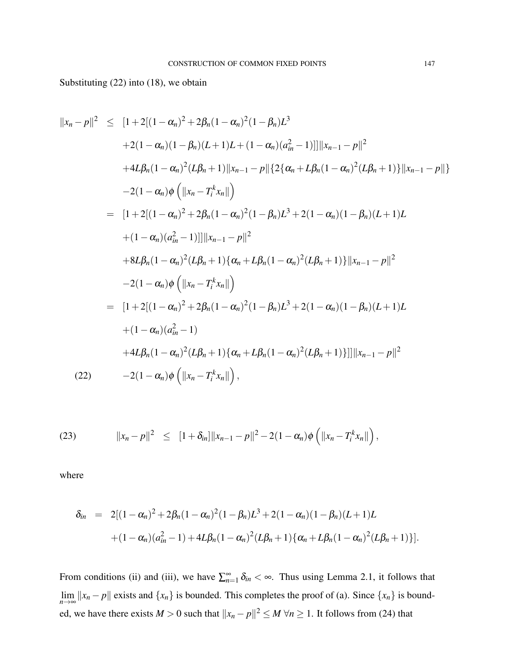### Substituting (22) into (18), we obtain

$$
||x_n - p||^2 \le [1 + 2[(1 - \alpha_n)^2 + 2\beta_n(1 - \alpha_n)^2(1 - \beta_n)L^3
$$
  
+2(1 - \alpha\_n)(1 - \beta\_n)(L + 1)L + (1 - \alpha\_n)(a\_{in}^2 - 1)]||x\_{n-1} - p||^2  
+4L\beta\_n(1 - \alpha\_n)^2(L\beta\_n + 1)||x\_{n-1} - p||{2\{\alpha\_n + L\beta\_n(1 - \alpha\_n)^2(L\beta\_n + 1)\}||x\_{n-1} - p||}  
-2(1 - \alpha\_n)\phi (||x\_n - T\_t^k x\_n||)  
= [1 + 2[(1 - \alpha\_n)^2 + 2\beta\_n(1 - \alpha\_n)^2(1 - \beta\_n)L^3 + 2(1 - \alpha\_n)(1 - \beta\_n)(L + 1)L  
+ (1 - \alpha\_n)(a\_{in}^2 - 1)]||x\_{n-1} - p||^2  
+8L\beta\_n(1 - \alpha\_n)^2(L\beta\_n + 1){\alpha\_n + L\beta\_n(1 - \alpha\_n)^2(L\beta\_n + 1)}||x\_{n-1} - p||^2  
-2(1 - \alpha\_n)\phi (||x\_n - T\_t^k x\_n||)  
= [1 + 2[(1 - \alpha\_n)^2 + 2\beta\_n(1 - \alpha\_n)^2(1 - \beta\_n)L^3 + 2(1 - \alpha\_n)(1 - \beta\_n)(L + 1)L  
+ (1 - \alpha\_n)(a\_{in}^2 - 1)  
+4L\beta\_n(1 - \alpha\_n)^2(L\beta\_n + 1){\alpha\_n + L\beta\_n(1 - \alpha\_n)^2(L\beta\_n + 1)}]||x\_{n-1} - p||^2  
-2(1 - \alpha\_n)\phi (||x\_n - T\_t^k x\_n||),

(23) 
$$
||x_n-p||^2 \leq [1+\delta_{in}]||x_{n-1}-p||^2 - 2(1-\alpha_n)\phi\left(||x_n-T_i^kx_n||\right),
$$

where

$$
\delta_{in} = 2[(1-\alpha_n)^2 + 2\beta_n(1-\alpha_n)^2(1-\beta_n)L^3 + 2(1-\alpha_n)(1-\beta_n)(L+1)L
$$
  
 
$$
+(1-\alpha_n)(a_{in}^2-1) + 4L\beta_n(1-\alpha_n)^2(L\beta_n+1)\{\alpha_n + L\beta_n(1-\alpha_n)^2(L\beta_n+1)\}].
$$

From conditions (ii) and (iii), we have  $\sum_{n=1}^{\infty} \delta_{in} < \infty$ . Thus using Lemma 2.1, it follows that lim  $||x_n - p||$  exists and  $\{x_n\}$  is bounded. This completes the proof of (a). Since  $\{x_n\}$  is bounded, we have there exists  $M > 0$  such that  $||x_n - p||^2 \le M \,\forall n \ge 1$ . It follows from (24) that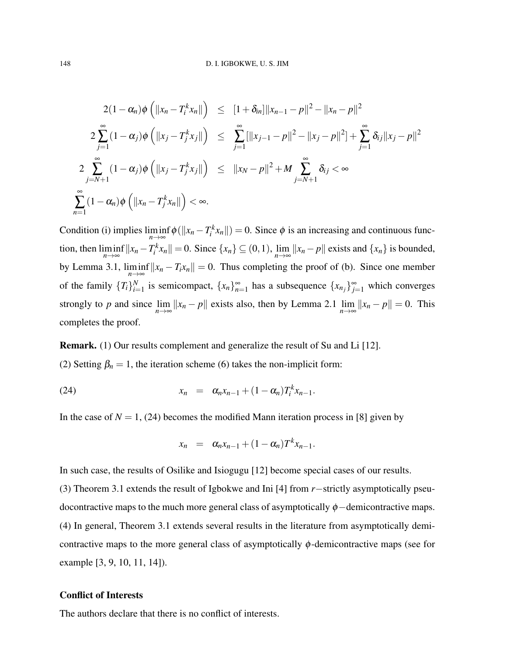$$
2(1 - \alpha_n)\phi\left(\|x_n - T_i^k x_n\|\right) \leq [1 + \delta_{in}] \|x_{n-1} - p\|^2 - \|x_n - p\|^2
$$
  

$$
2\sum_{j=1}^{\infty} (1 - \alpha_j)\phi\left(\|x_j - T_j^k x_j\|\right) \leq \sum_{j=1}^{\infty} [\|x_{j-1} - p\|^2 - \|x_j - p\|^2] + \sum_{j=1}^{\infty} \delta_{ij} \|x_j - p\|^2
$$
  

$$
2\sum_{j=N+1}^{\infty} (1 - \alpha_j)\phi\left(\|x_j - T_j^k x_j\|\right) \leq \|x_N - p\|^2 + M \sum_{j=N+1}^{\infty} \delta_{ij} < \infty
$$
  

$$
\sum_{n=1}^{\infty} (1 - \alpha_n)\phi\left(\|x_n - T_j^k x_n\|\right) < \infty.
$$

Condition (i) implies  $\liminf_{n\to\infty} \phi(||x_n - T_i^k x_n||) = 0$ . Since  $\phi$  is an increasing and continuous function, then  $\liminf_{n\to\infty} ||x_n - T_i^k x_n|| = 0$ . Since  $\{x_n\} \subseteq (0,1)$ ,  $\lim_{n\to\infty} ||x_n - p||$  exists and  $\{x_n\}$  is bounded, by Lemma 3.1,  $\liminf_{n\to\infty} ||x_n - T_i x_n|| = 0$ . Thus completing the proof of (b). Since one member of the family  ${T_i}_{i=1}^N$  $\sum_{i=1}^{N}$  is semicompact, {*x<sub>n</sub>*} $\sum_{n=1}^{\infty}$  has a subsequence {*x<sub>n<sub>j</sub>*</sub>} $\sum_{j=1}^{\infty}$  which converges strongly to *p* and since  $\lim_{n\to\infty} ||x_n - p||$  exists also, then by Lemma 2.1  $\lim_{n\to\infty} ||x_n - p|| = 0$ . This completes the proof.

Remark. (1) Our results complement and generalize the result of Su and Li [12]. (2) Setting  $\beta_n = 1$ , the iteration scheme (6) takes the non-implicit form:

(24) 
$$
x_n = \alpha_n x_{n-1} + (1 - \alpha_n) T_i^k x_{n-1}.
$$

In the case of  $N = 1$ , (24) becomes the modified Mann iteration process in [8] given by

$$
x_n = \alpha_n x_{n-1} + (1 - \alpha_n) T^k x_{n-1}.
$$

In such case, the results of Osilike and Isiogugu [12] become special cases of our results. (3) Theorem 3.1 extends the result of Igbokwe and Ini [4] from *r*−strictly asymptotically pseudocontractive maps to the much more general class of asymptotically  $\phi$  –demicontractive maps. (4) In general, Theorem 3.1 extends several results in the literature from asymptotically demicontractive maps to the more general class of asymptotically  $\phi$ -demicontractive maps (see for example [3, 9, 10, 11, 14]).

### Conflict of Interests

The authors declare that there is no conflict of interests.